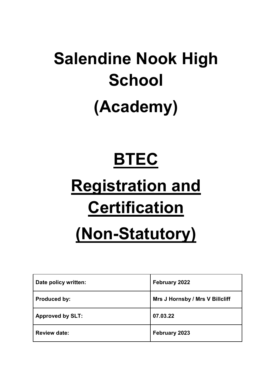# **Salendine Nook High School (Academy)**

#### **BTEC**

# **Registration and Certification**

### **(Non-Statutory)**

| Date policy written:    | February 2022                   |
|-------------------------|---------------------------------|
| <b>Produced by:</b>     | Mrs J Hornsby / Mrs V Billcliff |
| <b>Approved by SLT:</b> | 07.03.22                        |
| <b>Review date:</b>     | February 2023                   |